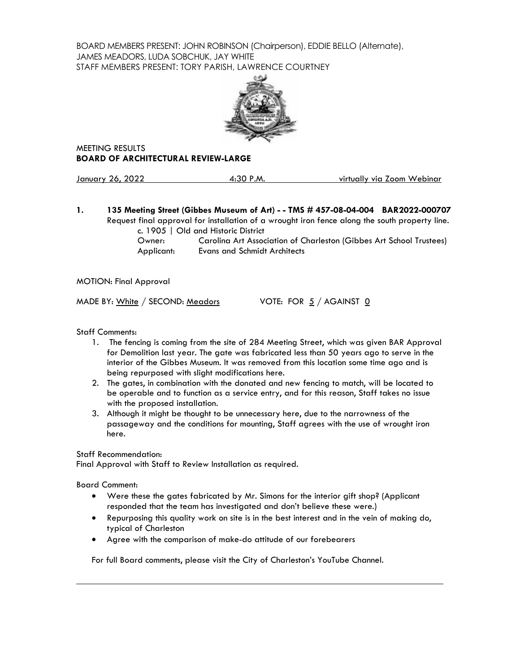BOARD MEMBERS PRESENT: JOHN ROBINSON (Chairperson), EDDIE BELLO (Alternate), JAMES MEADORS, LUDA SOBCHUK, JAY WHITE STAFF MEMBERS PRESENT: TORY PARISH, LAWRENCE COURTNEY



MEETING RESULTS **BOARD OF ARCHITECTURAL REVIEW-LARGE**

January 26, 2022 **4:30 P.M.** virtually via Zoom Webinar

**1. 135 Meeting Street (Gibbes Museum of Art) - - TMS # 457-08-04-004 BAR2022-000707** Request final approval for installation of a wrought iron fence along the south property line.

c. 1905 | Old and Historic District

Owner: Carolina Art Association of Charleston (Gibbes Art School Trustees) Applicant: Evans and Schmidt Architects

MOTION: Final Approval

MADE BY:  $White / SECOND: Meadors$  VOTE: FOR  $5 / AGAINST$  0

Staff Comments:

- 1. The fencing is coming from the site of 284 Meeting Street, which was given BAR Approval for Demolition last year. The gate was fabricated less than 50 years ago to serve in the interior of the Gibbes Museum. It was removed from this location some time ago and is being repurposed with slight modifications here.
- 2. The gates, in combination with the donated and new fencing to match, will be located to be operable and to function as a service entry, and for this reason, Staff takes no issue with the proposed installation.
- 3. Although it might be thought to be unnecessary here, due to the narrowness of the passageway and the conditions for mounting, Staff agrees with the use of wrought iron here.

Staff Recommendation:

Final Approval with Staff to Review Installation as required.

Board Comment:

- Were these the gates fabricated by Mr. Simons for the interior gift shop? (Applicant responded that the team has investigated and don't believe these were.)
- Repurposing this quality work on site is in the best interest and in the vein of making do, typical of Charleston
- Agree with the comparison of make-do attitude of our forebearers

For full Board comments, please visit the City of Charleston's YouTube Channel.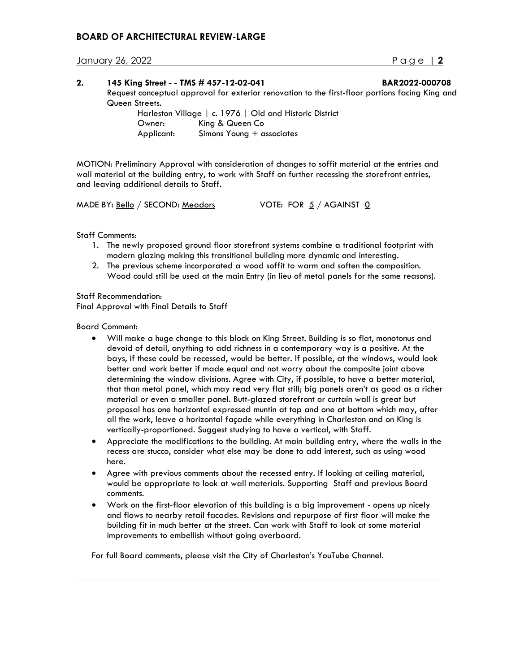## **BOARD OF ARCHITECTURAL REVIEW-LARGE**

January 26, 2022 Page | **2**

| 2. | 145 King Street - - TMS # 457-12-02-041                                                         |                                                         | BAR2022-000708 |  |  |
|----|-------------------------------------------------------------------------------------------------|---------------------------------------------------------|----------------|--|--|
|    | Request conceptual approval for exterior renovation to the first-floor portions facing King and |                                                         |                |  |  |
|    | Queen Streets.                                                                                  |                                                         |                |  |  |
|    |                                                                                                 | Harleston Village   c. 1976   Old and Historic District |                |  |  |
|    | Owner:                                                                                          | King & Queen Co                                         |                |  |  |
|    | Applicant:                                                                                      | Simons Young + associates                               |                |  |  |

MOTION: Preliminary Approval with consideration of changes to soffit material at the entries and wall material at the building entry, to work with Staff on further recessing the storefront entries, and leaving additional details to Staff.

MADE BY:  $\underline{\text{Bello}}$  / SECOND: Meadors VOTE: FOR  $\underline{5}$  / AGAINST  $\underline{0}$ 

Staff Comments:

- 1. The newly proposed ground floor storefront systems combine a traditional footprint with modern glazing making this transitional building more dynamic and interesting.
- 2. The previous scheme incorporated a wood soffit to warm and soften the composition. Wood could still be used at the main Entry (in lieu of metal panels for the same reasons).

Staff Recommendation: Final Approval with Final Details to Staff

Board Comment:

- Will make a huge change to this block on King Street. Building is so flat, monotonus and devoid of detail, anything to add richness in a contemporary way is a positive. At the bays, if these could be recessed, would be better. If possible, at the windows, would look better and work better if made equal and not worry about the composite joint above determining the window divisions. Agree with City, if possible, to have a better material, that than metal panel, which may read very flat still; big panels aren't as good as a richer material or even a smaller panel. Butt-glazed storefront or curtain wall is great but proposal has one horizontal expressed muntin at top and one at bottom which may, after all the work, leave a horizontal façade while everything in Charleston and on King is vertically-proportioned. Suggest studying to have a vertical, with Staff.
- Appreciate the modifications to the building. At main building entry, where the walls in the recess are stucco, consider what else may be done to add interest, such as using wood here.
- Agree with previous comments about the recessed entry. If looking at ceiling material, would be appropriate to look at wall materials. Supporting Staff and previous Board comments.
- Work on the first-floor elevation of this building is a big improvement opens up nicely and flows to nearby retail facades. Revisions and repurpose of first floor will make the building fit in much better at the street. Can work with Staff to look at some material improvements to embellish without going overboard.

For full Board comments, please visit the City of Charleston's YouTube Channel.